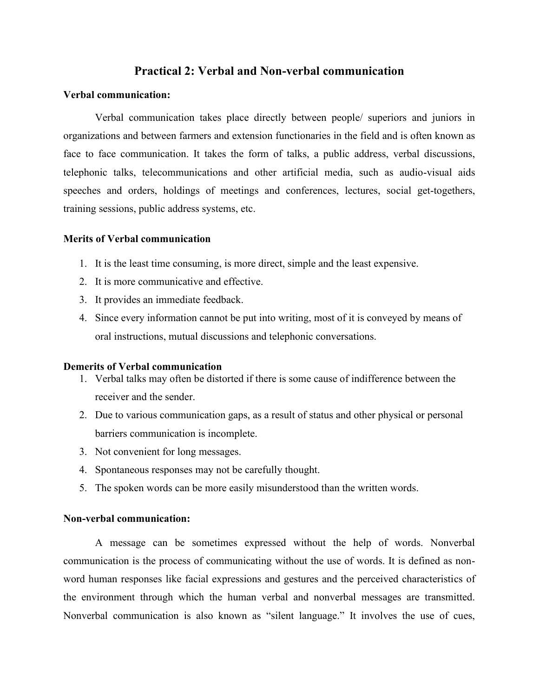# **Practical 2: Verbal and Non-verbal communication**

# **Verbal communication:**

Verbal communication takes place directly between people/ superiors and juniors in organizations and between farmers and extension functionaries in the field and is often known as face to face communication. It takes the form of talks, a public address, verbal discussions, telephonic talks, telecommunications and other artificial media, such as audio-visual aids speeches and orders, holdings of meetings and conferences, lectures, social get-togethers, training sessions, public address systems, etc.

# **Merits of Verbal communication**

- 1. It is the least time consuming, is more direct, simple and the least expensive.
- 2. It is more communicative and effective.
- 3. It provides an immediate feedback.
- 4. Since every information cannot be put into writing, most of it is conveyed by means of oral instructions, mutual discussions and telephonic conversations.

### **Demerits of Verbal communication**

- 1. Verbal talks may often be distorted if there is some cause of indifference between the receiver and the sender.
- 2. Due to various communication gaps, as a result of status and other physical or personal barriers communication is incomplete.
- 3. Not convenient for long messages.
- 4. Spontaneous responses may not be carefully thought.
- 5. The spoken words can be more easily misunderstood than the written words.

### **Non-verbal communication:**

A message can be sometimes expressed without the help of words. Nonverbal communication is the process of communicating without the use of words. It is defined as nonword human responses like facial expressions and gestures and the perceived characteristics of the environment through which the human verbal and nonverbal messages are transmitted. Nonverbal communication is also known as "silent language." It involves the use of cues,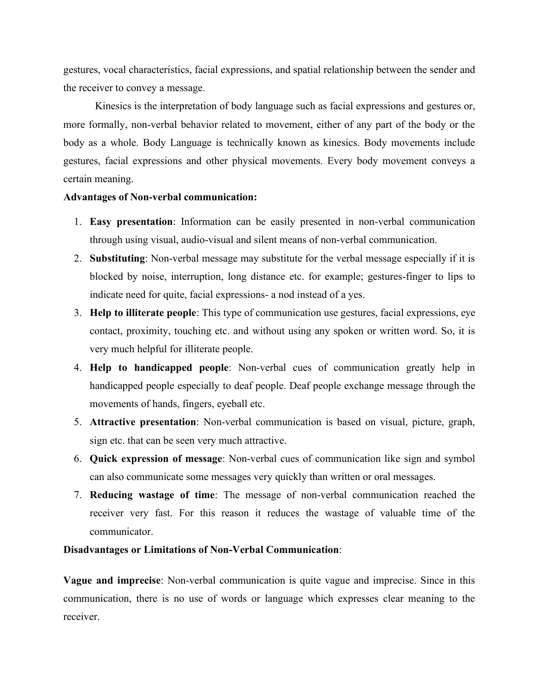gestures, vocal characteristics, facial expressions, and spatial relationship between the sender and the receiver to convey a message.

Kinesics is the interpretation of body language such as facial expressions and gestures or, more formally, non-verbal behavior related to movement, either of any part of the body or the body as a whole. Body Language is technically known as kinesics. Body movements include gestures, facial expressions and other physical movements. Every body movement conveys a certain meaning.

### **Advantages of Non-verbal communication:**

- 1. **Easy presentation**: Information can be easily presented in non-verbal communication through using visual, audio-visual and silent means of non-verbal communication.
- 2. **Substituting**: Non-verbal message may substitute for the verbal message especially if it is blocked by noise, interruption, long distance etc. for example; gestures-finger to lips to indicate need for quite, facial expressions- a nod instead of a yes.
- 3. **Help to illiterate people**: This type of communication use gestures, facial expressions, eye contact, proximity, touching etc. and without using any spoken or written word. So, it is very much helpful for illiterate people.
- 4. **Help to handicapped people**: Non-verbal cues of communication greatly help in handicapped people especially to deaf people. Deaf people exchange message through the movements of hands, fingers, eyeball etc.
- 5. **Attractive presentation**: Non-verbal communication is based on visual, picture, graph, sign etc. that can be seen very much attractive.
- 6. **Quick expression of message**: Non-verbal cues of communication like sign and symbol can also communicate some messages very quickly than written or oral messages.
- 7. **Reducing wastage of time**: The message of non-verbal communication reached the receiver very fast. For this reason it reduces the wastage of valuable time of the communicator.

# **Disadvantages or Limitations of Non-Verbal Communication**:

**Vague and imprecise**: Non-verbal communication is quite vague and imprecise. Since in this communication, there is no use of words or language which expresses clear meaning to the receiver.